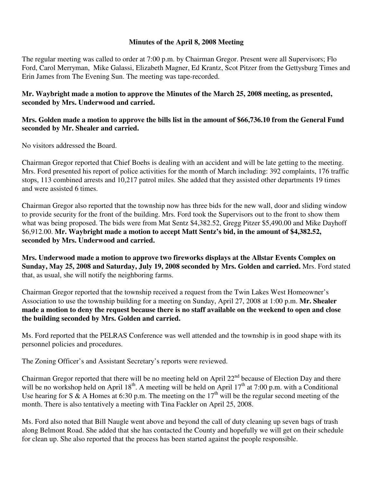## **Minutes of the April 8, 2008 Meeting**

The regular meeting was called to order at 7:00 p.m. by Chairman Gregor. Present were all Supervisors; Flo Ford, Carol Merryman, Mike Galassi, Elizabeth Magner, Ed Krantz, Scot Pitzer from the Gettysburg Times and Erin James from The Evening Sun. The meeting was tape-recorded.

## **Mr. Waybright made a motion to approve the Minutes of the March 25, 2008 meeting, as presented, seconded by Mrs. Underwood and carried.**

## **Mrs. Golden made a motion to approve the bills list in the amount of \$66,736.10 from the General Fund seconded by Mr. Shealer and carried.**

No visitors addressed the Board.

Chairman Gregor reported that Chief Boehs is dealing with an accident and will be late getting to the meeting. Mrs. Ford presented his report of police activities for the month of March including: 392 complaints, 176 traffic stops, 113 combined arrests and 10,217 patrol miles. She added that they assisted other departments 19 times and were assisted 6 times.

Chairman Gregor also reported that the township now has three bids for the new wall, door and sliding window to provide security for the front of the building. Mrs. Ford took the Supervisors out to the front to show them what was being proposed. The bids were from Mat Sentz \$4,382.52, Gregg Pitzer \$5,490.00 and Mike Dayhoff \$6,912.00. **Mr. Waybright made a motion to accept Matt Sentz's bid, in the amount of \$4,382.52, seconded by Mrs. Underwood and carried.** 

**Mrs. Underwood made a motion to approve two fireworks displays at the Allstar Events Complex on Sunday, May 25, 2008 and Saturday, July 19, 2008 seconded by Mrs. Golden and carried.** Mrs. Ford stated that, as usual, she will notify the neighboring farms.

Chairman Gregor reported that the township received a request from the Twin Lakes West Homeowner's Association to use the township building for a meeting on Sunday, April 27, 2008 at 1:00 p.m. **Mr. Shealer made a motion to deny the request because there is no staff available on the weekend to open and close the building seconded by Mrs. Golden and carried.** 

Ms. Ford reported that the PELRAS Conference was well attended and the township is in good shape with its personnel policies and procedures.

The Zoning Officer's and Assistant Secretary's reports were reviewed.

Chairman Gregor reported that there will be no meeting held on April 22<sup>nd</sup> because of Election Day and there will be no workshop held on April  $18^{th}$ . A meeting will be held on April  $17^{th}$  at 7:00 p.m. with a Conditional Use hearing for S & A Homes at 6:30 p.m. The meeting on the  $17<sup>th</sup>$  will be the regular second meeting of the month. There is also tentatively a meeting with Tina Fackler on April 25, 2008.

Ms. Ford also noted that Bill Naugle went above and beyond the call of duty cleaning up seven bags of trash along Belmont Road. She added that she has contacted the County and hopefully we will get on their schedule for clean up. She also reported that the process has been started against the people responsible.